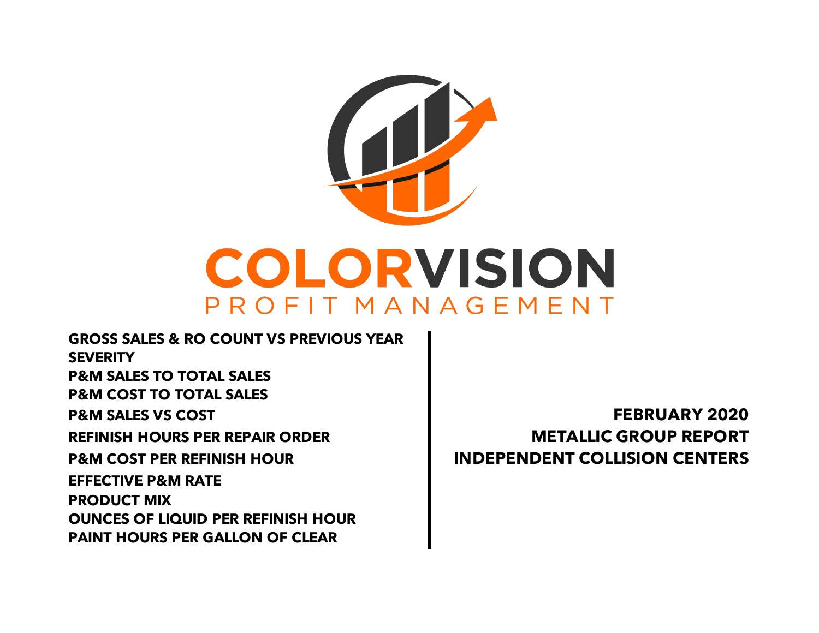

**GROSS SALES & RO COUNT VS PREVIOUS YEAR SEVERITY P&M SALES TO TOTAL SALES P&M COST TO TOTAL SALES P&M SALES VS COST FEBRUARY 2020 REFINISH HOURS PER REPAIR ORDER METALLIC GROUP REPORT P&M COST PER REFINISH HOUR INDEPENDENT COLLISION CENTERS PAINT HOURS PER GALLON OF CLEAR EFFECTIVE P&M RATE PRODUCT MIX OUNCES OF LIQUID PER REFINISH HOUR**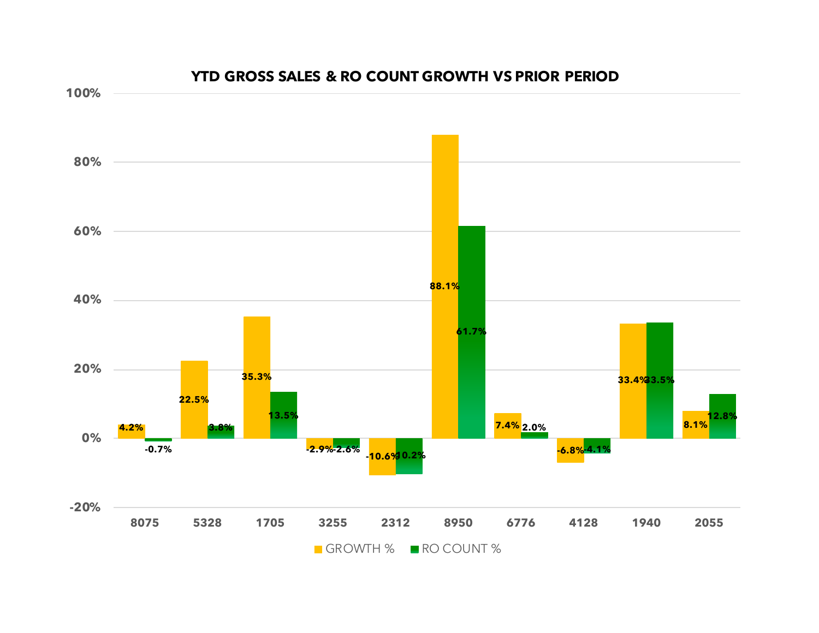

#### **YTD GROSS SALES & RO COUNT GROWTH VS PRIOR PERIOD**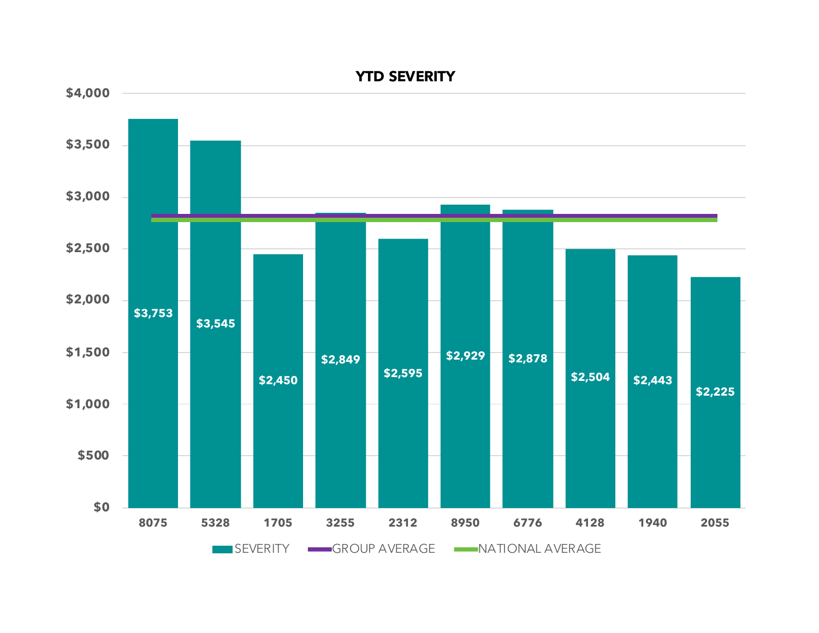

# **YTD SEVERITY**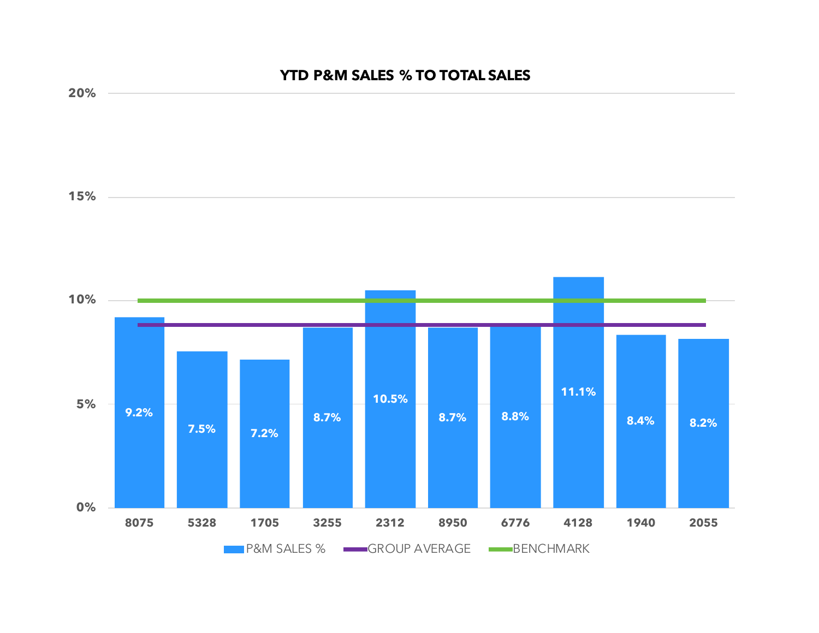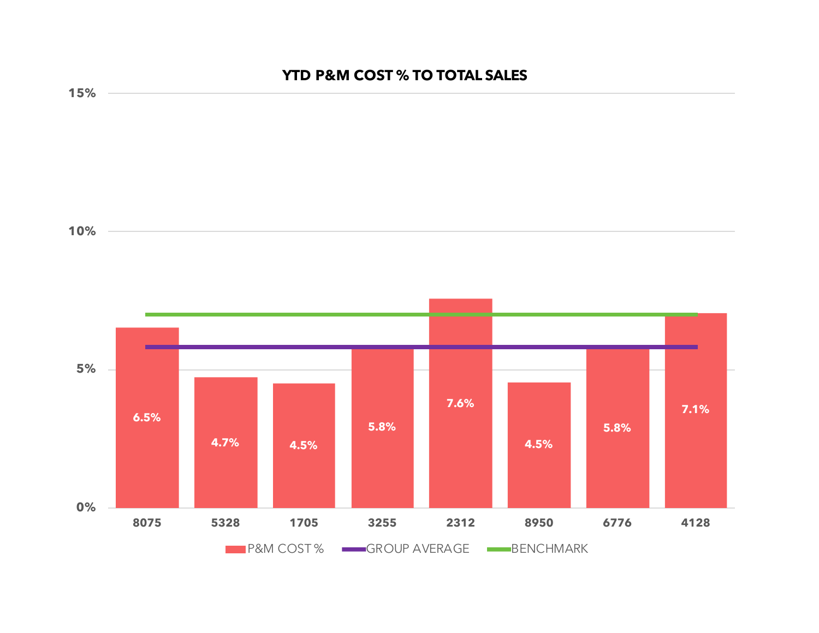# **YTD P&M COST % TO TOTAL SALES**

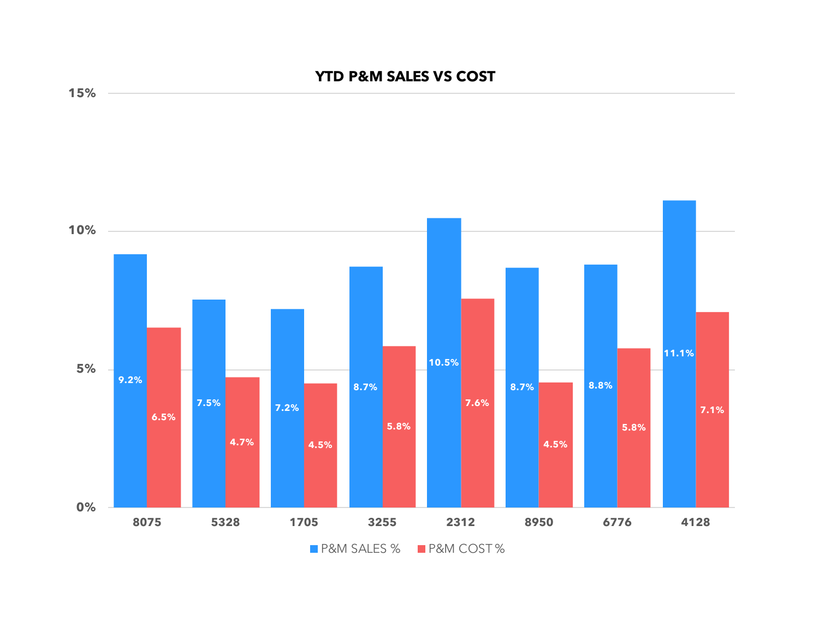## **YTD P&M SALES VS COST**



**15%**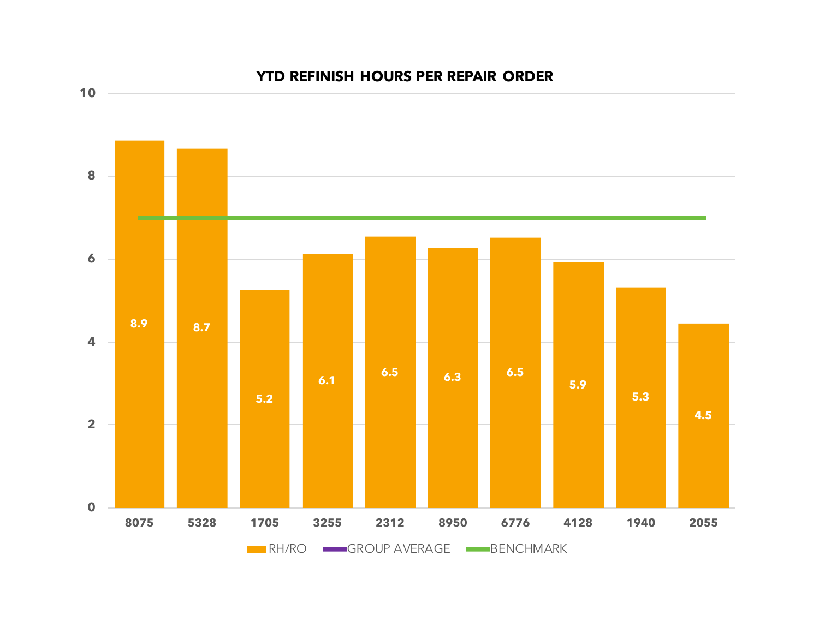

## **YTD REFINISH HOURS PER REPAIR ORDER**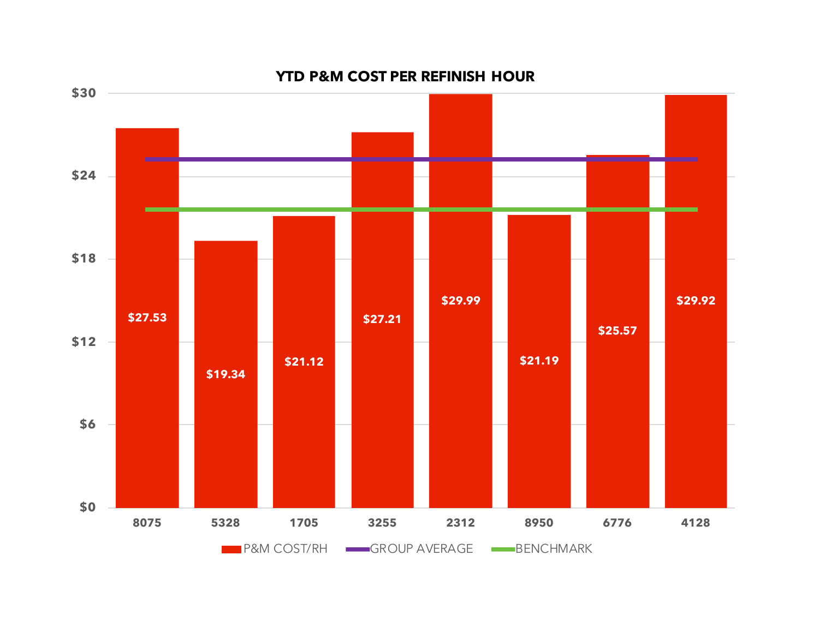

### **YTD P&M COST PER REFINISH HOUR**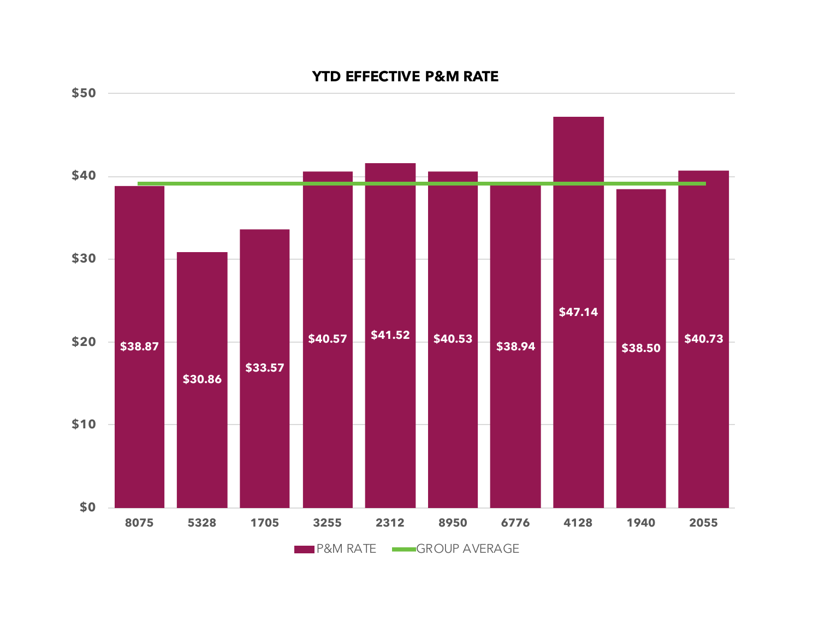

## **YTD EFFECTIVE P&M RATE**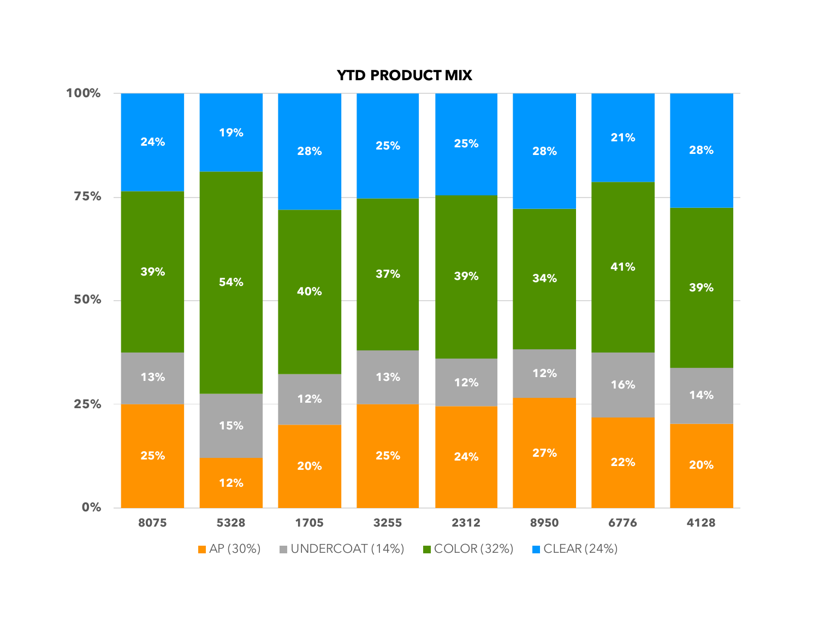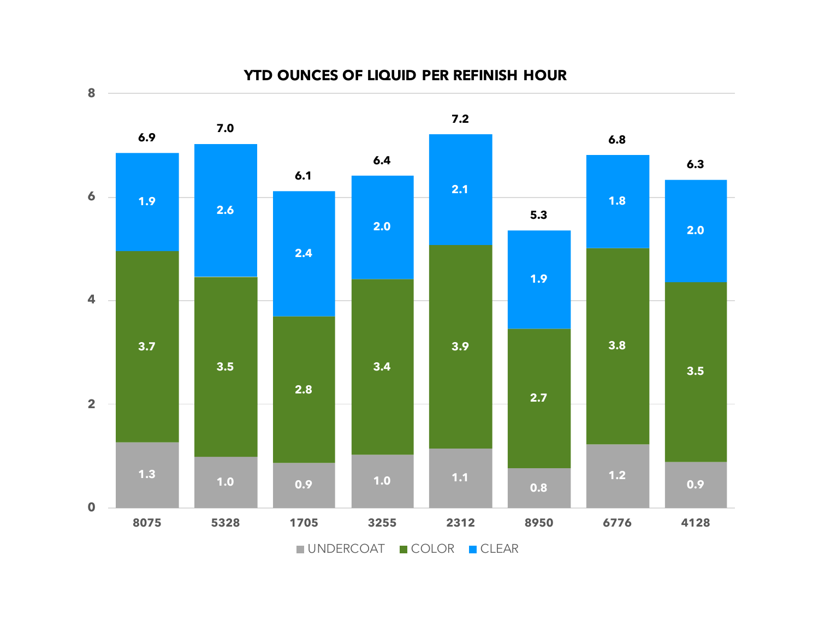

#### **YTD OUNCES OF LIQUID PER REFINISH HOUR**